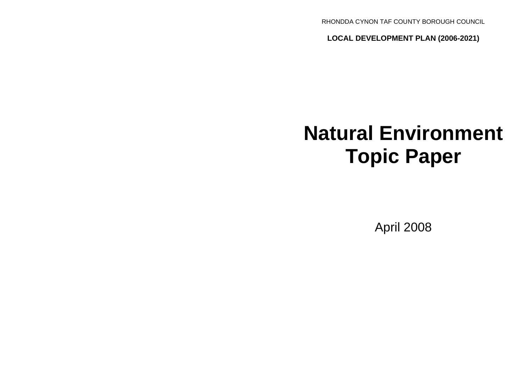RHONDDA CYNON TAF COUNTY BOROUGH COUNCIL

**LOCAL DEVELOPMENT PLAN (2006-2021)**

# **Natural Environment Topic Paper**

April 2008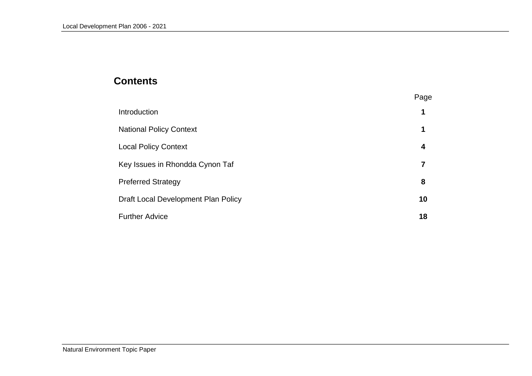# **Contents**

|                                     | Page |
|-------------------------------------|------|
| Introduction                        | 1    |
| <b>National Policy Context</b>      | 1    |
| <b>Local Policy Context</b>         | 4    |
| Key Issues in Rhondda Cynon Taf     |      |
| <b>Preferred Strategy</b>           | 8    |
| Draft Local Development Plan Policy | 10   |
| <b>Further Advice</b>               | 18   |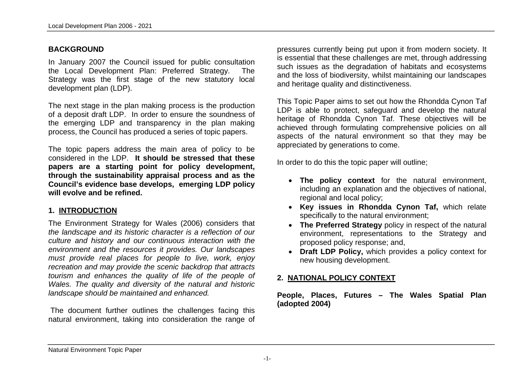#### **BACKGROUND**

In January 2007 the Council issued for public consultation the Local Development Plan: Preferred Strategy. The Strategy was the first stage of the new statutory local development plan (LDP).

The next stage in the plan making process is the production of a deposit draft LDP. In order to ensure the soundness of the emerging LDP and transparency in the plan making process, the Council has produced a series of topic papers.

The topic papers address the main area of policy to be considered in the LDP. **It should be stressed that these papers are a starting point for policy development, through the sustainability appraisal process and as the Council's evidence base develops, emerging LDP policy will evolve and be refined.**

#### **1. INTRODUCTION**

The Environment Strategy for Wales (2006) considers that *the landscape and its historic character is a reflection of our culture and history and our continuous interaction with the environment and the resources it provides. Our landscapes must provide real places for people to live, work, enjoy recreation and may provide the scenic backdrop that attracts tourism and enhances the quality of life of the people of Wales. The quality and diversity of the natural and historic landscape should be maintained and enhanced.* 

The document further outlines the challenges facing this natural environment, taking into consideration the range of

pressures currently being put upon it from modern society. It is essential that these challenges are met, through addressing such issues as the degradation of habitats and ecosystems and the loss of biodiversity, whilst maintaining our landscapes and heritage quality and distinctiveness.

This Topic Paper aims to set out how the Rhondda Cynon Taf LDP is able to protect, safeguard and develop the natural heritage of Rhondda Cynon Taf. These objectives will be achieved through formulating comprehensive policies on all aspects of the natural environment so that they may be appreciated by generations to come.

In order to do this the topic paper will outline;

- **The policy context** for the natural environment, including an explanation and the objectives of national, regional and local policy;
- **Key issues in Rhondda Cynon Taf,** which relate specifically to the natural environment;
- **The Preferred Strategy** policy in respect of the natural environment, representations to the Strategy and proposed policy response; and,
- **Draft LDP Policy,** which provides a policy context for new housing development.

## **2. NATIONAL POLICY CONTEXT**

**People, Places, Futures – The Wales Spatial Plan (adopted 2004)**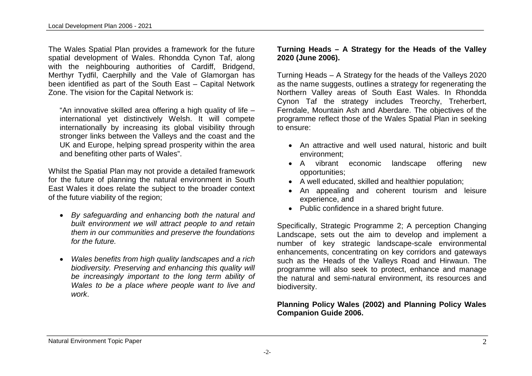The Wales Spatial Plan provides a framework for the future spatial development of Wales. Rhondda Cynon Taf, along with the neighbouring authorities of Cardiff, Bridgend, Merthyr Tydfil, Caerphilly and the Vale of Glamorgan has been identified as part of the South East – Capital Network Zone. The vision for the Capital Network is:

"An innovative skilled area offering a high quality of life – international yet distinctively Welsh. It will compete internationally by increasing its global visibility through stronger links between the Valleys and the coast and the UK and Europe, helping spread prosperity within the area and benefiting other parts of Wales".

Whilst the Spatial Plan may not provide a detailed framework for the future of planning the natural environment in South East Wales it does relate the subject to the broader context of the future viability of the region;

- *By safeguarding and enhancing both the natural and built environment we will attract people to and retain them in our communities and preserve the foundations for the future.*
- *Wales benefits from high quality landscapes and a rich biodiversity. Preserving and enhancing this quality will be increasingly important to the long term ability of Wales to be a place where people want to live and work*.

#### **Turning Heads – A Strategy for the Heads of the Valley 2020 (June 2006).**

Turning Heads – A Strategy for the heads of the Valleys 2020 as the name suggests, outlines a strategy for regenerating the Northern Valley areas of South East Wales. In Rhondda Cynon Taf the strategy includes Treorchy, Treherbert, Ferndale, Mountain Ash and Aberdare. The objectives of the programme reflect those of the Wales Spatial Plan in seeking to ensure:

- An attractive and well used natural, historic and built environment;
- A vibrant economic landscape offering new opportunities;
- A well educated, skilled and healthier population;
- An appealing and coherent tourism and leisure experience, and
- Public confidence in a shared bright future.

Specifically, Strategic Programme 2; A perception Changing Landscape, sets out the aim to develop and implement a number of key strategic landscape-scale environmental enhancements, concentrating on key corridors and gateways such as the Heads of the Valleys Road and Hirwaun. The programme will also seek to protect, enhance and manage the natural and semi-natural environment, its resources and biodiversity.

## **Planning Policy Wales (2002) and Planning Policy Wales Companion Guide 2006.**

#### Natural Environment Topic Paper 2

-2-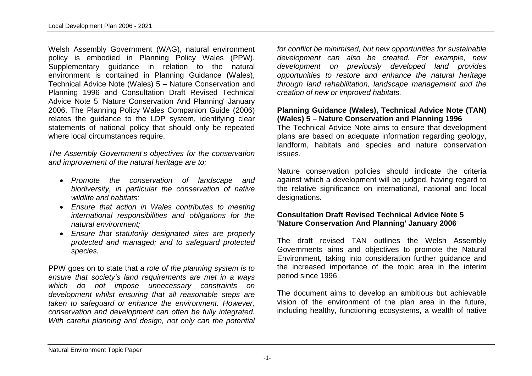Welsh Assembly Government (WAG), natural environment policy is embodied in Planning Policy Wales (PPW). Supplementary guidance in relation to the natural environment is contained in Planning Guidance (Wales), Technical Advice Note (Wales) 5 – Nature Conservation and Planning 1996 and Consultation Draft Revised Technical Advice Note 5 'Nature Conservation And Planning' January 2006. The Planning Policy Wales Companion Guide (2006) relates the guidance to the LDP system, identifying clear statements of national policy that should only be repeated where local circumstances require.

*The Assembly Government's objectives for the conservation and improvement of the natural heritage are to;*

- *Promote the conservation of landscape and biodiversity, in particular the conservation of native wildlife and habitats;*
- *Ensure that action in Wales contributes to meeting international responsibilities and obligations for the natural environment;*
- *Ensure that statutorily designated sites are properly protected and managed; and to safeguard protected species.*

PPW goes on to state that *a role of the planning system is to ensure that society's land requirements are met in a ways which do not impose unnecessary constraints on development whilst ensuring that all reasonable steps are taken to safeguard or enhance the environment. However, conservation and development can often be fully integrated. With careful planning and design, not only can the potential*  *for conflict be minimised, but new opportunities for sustainable development can also be created. For example, new development on previously developed land provides opportunities to restore and enhance the natural heritage through land rehabilitation, landscape management and the creation of new or improved habitats.* 

#### **Planning Guidance (Wales), Technical Advice Note (TAN) (Wales) 5 – Nature Conservation and Planning 1996**

The Technical Advice Note aims to ensure that development plans are based on adequate information regarding geology, landform, habitats and species and nature conservation issues.

Nature conservation policies should indicate the criteria against which a development will be judged, having regard to the relative significance on international, national and local designations.

#### **Consultation Draft Revised Technical Advice Note 5 'Nature Conservation And Planning' January 2006**

The draft revised TAN outlines the Welsh Assembly Governments aims and objectives to promote the Natural Environment, taking into consideration further guidance and the increased importance of the topic area in the interim period since 1996.

The document aims to develop an ambitious but achievable vision of the environment of the plan area in the future, including healthy, functioning ecosystems, a wealth of native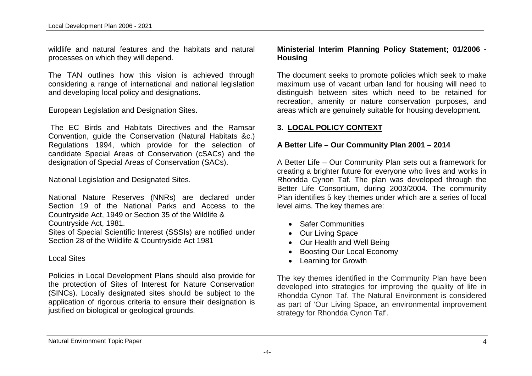wildlife and natural features and the habitats and natural processes on which they will depend.

The TAN outlines how this vision is achieved through considering a range of international and national legislation and developing local policy and designations.

European Legislation and Designation Sites.

 The EC Birds and Habitats Directives and the Ramsar Convention, guide the Conservation (Natural Habitats &c.) Regulations 1994, which provide for the selection of candidate Special Areas of Conservation (cSACs) and the designation of Special Areas of Conservation (SACs).

National Legislation and Designated Sites.

National Nature Reserves (NNRs) are declared under Section 19 of the National Parks and Access to the Countryside Act, 1949 or Section 35 of the Wildlife & Countryside Act, 1981.

Sites of Special Scientific Interest (SSSIs) are notified under Section 28 of the Wildlife & Countryside Act 1981

#### Local Sites

Policies in Local Development Plans should also provide for the protection of Sites of Interest for Nature Conservation (SINCs). Locally designated sites should be subject to the application of rigorous criteria to ensure their designation is justified on biological or geological grounds.

#### **Ministerial Interim Planning Policy Statement; 01/2006 - Housing**

The document seeks to promote policies which seek to make maximum use of vacant urban land for housing will need to distinguish between sites which need to be retained for recreation, amenity or nature conservation purposes, and areas which are genuinely suitable for housing development.

## **3. LOCAL POLICY CONTEXT**

#### **A Better Life – Our Community Plan 2001 – 2014**

A Better Life – Our Community Plan sets out a framework for creating a brighter future for everyone who lives and works in Rhondda Cynon Taf. The plan was developed through the Better Life Consortium, during 2003/2004. The community Plan identifies 5 key themes under which are a series of local level aims. The key themes are:

- Safer Communities
- Our Living Space
- Our Health and Well Being
- Boosting Our Local Economy
- Learning for Growth

The key themes identified in the Community Plan have been developed into strategies for improving the quality of life in Rhondda Cynon Taf. The Natural Environment is considered as part of 'Our Living Space, an environmental improvement strategy for Rhondda Cynon Taf'.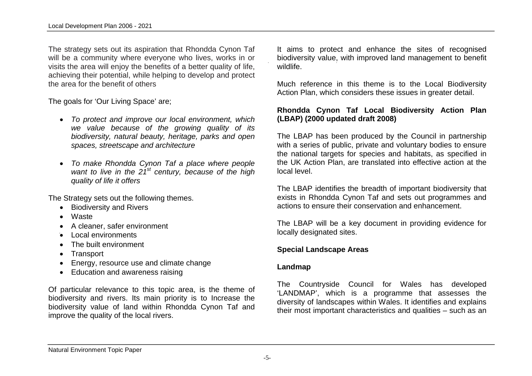The strategy sets out its aspiration that Rhondda Cynon Taf will be a community where everyone who lives, works in or visits the area will enjoy the benefits of a better quality of life, achieving their potential, while helping to develop and protect the area for the benefit of others

The goals for 'Our Living Space' are;

- *To protect and improve our local environment, which we value because of the growing quality of its biodiversity, natural beauty, heritage, parks and open spaces, streetscape and architecture*
- *To make Rhondda Cynon Taf a place where people*  want to live in the 21<sup>st</sup> century, because of the high *quality of life it offers*

The Strategy sets out the following themes.

- Biodiversity and Rivers
- Waste
- A cleaner, safer environment
- Local environments
- The built environment
- Transport
- Energy, resource use and climate change
- Education and awareness raising

Of particular relevance to this topic area, is the theme of biodiversity and rivers. Its main priority is to Increase the biodiversity value of land within Rhondda Cynon Taf and improve the quality of the local rivers.

It aims to protect and enhance the sites of recognised biodiversity value, with improved land management to benefit wildlife.

Much reference in this theme is to the Local Biodiversity Action Plan, which considers these issues in greater detail.

## **Rhondda Cynon Taf Local Biodiversity Action Plan (LBAP) (2000 updated draft 2008)**

The LBAP has been produced by the Council in partnership with a series of public, private and voluntary bodies to ensure the national targets for species and habitats, as specified in the UK Action Plan, are translated into effective action at the local level.

The LBAP identifies the breadth of important biodiversity that exists in Rhondda Cynon Taf and sets out programmes and actions to ensure their conservation and enhancement.

The LBAP will be a key document in providing evidence for locally designated sites.

#### **Special Landscape Areas**

#### **Landmap**

The Countryside Council for Wales has developed 'LANDMAP', which is a programme that assesses the diversity of landscapes within Wales. It identifies and explains their most important characteristics and qualities – such as an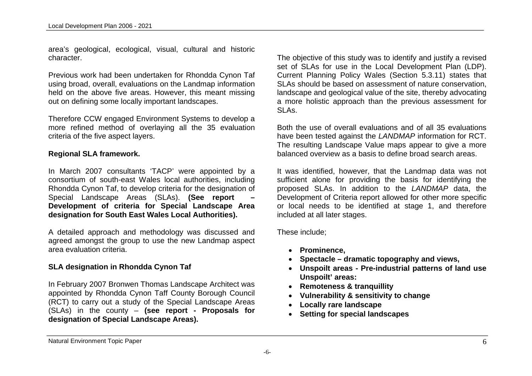area's geological, ecological, visual, cultural and historic character.

Previous work had been undertaken for Rhondda Cynon Taf using broad, overall, evaluations on the Landmap information held on the above five areas. However, this meant missing out on defining some locally important landscapes.

Therefore CCW engaged Environment Systems to develop a more refined method of overlaying all the 35 evaluation criteria of the five aspect layers.

#### **Regional SLA framework.**

In March 2007 consultants 'TACP' were appointed by a consortium of south-east Wales local authorities, including Rhondda Cynon Taf, to develop criteria for the designation of Special Landscape Areas (SLAs). **(See report – Development of criteria for Special Landscape Area designation for South East Wales Local Authorities).** 

A detailed approach and methodology was discussed and agreed amongst the group to use the new Landmap aspect area evaluation criteria.

## **SLA designation in Rhondda Cynon Taf**

In February 2007 Bronwen Thomas Landscape Architect was appointed by Rhondda Cynon Taff County Borough Council (RCT) to carry out a study of the Special Landscape Areas (SLAs) in the county – **(see report - Proposals for designation of Special Landscape Areas).**

The objective of this study was to identify and justify a revised set of SLAs for use in the Local Development Plan (LDP). Current Planning Policy Wales (Section 5.3.11) states that SLAs should be based on assessment of nature conservation, landscape and geological value of the site, thereby advocating a more holistic approach than the previous assessment for SLAs.

Both the use of overall evaluations and of all 35 evaluations have been tested against the *LANDMAP* information for RCT. The resulting Landscape Value maps appear to give a more balanced overview as a basis to define broad search areas.

It was identified, however, that the Landmap data was not sufficient alone for providing the basis for identifying the proposed SLAs. In addition to the *LANDMAP* data, the Development of Criteria report allowed for other more specific or local needs to be identified at stage 1, and therefore included at all later stages.

These include;

- **Prominence,**
- **Spectacle dramatic topography and views,**
- **Unspoilt areas Pre-industrial patterns of land use Unspoilt' areas:**
- **Remoteness & tranquillity**
- **Vulnerability & sensitivity to change**
- **Locally rare landscape**
- **Setting for special landscapes**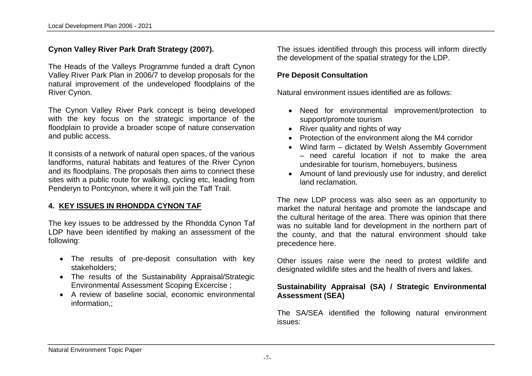## **Cynon Valley River Park Draft Strategy (2007).**

The Heads of the Valleys Programme funded a draft Cynon Valley River Park Plan in 2006/7 to develop proposals for the natural improvement of the undeveloped floodplains of the River Cynon.

The Cynon Valley River Park concept is being developed with the key focus on the strategic importance of the floodplain to provide a broader scope of nature conservation and public access.

It consists of a network of natural open spaces, of the various landforms, natural habitats and features of the River Cynon and its floodplains. The proposals then aims to connect these sites with a public route for walking, cycling etc, leading from Penderyn to Pontcynon, where it will join the Taff Trail.

#### **4. KEY ISSUES IN RHONDDA CYNON TAF**

The key issues to be addressed by the Rhondda Cynon Taf LDP have been identified by making an assessment of the following:

- The results of pre-deposit consultation with key stakeholders;
- The results of the Sustainability Appraisal/Strategic Environmental Assessment Scoping Excercise ;
- A review of baseline social, economic environmental information,;

The issues identified through this process will inform directly the development of the spatial strategy for the LDP.

#### **Pre Deposit Consultation**

Natural environment issues identified are as follows:

- Need for environmental improvement/protection to support/promote tourism
- River quality and rights of way
- Protection of the environment along the M4 corridor
- Wind farm dictated by Welsh Assembly Government – need careful location if not to make the area undesirable for tourism, homebuyers, business
- Amount of land previously use for industry, and derelict land reclamation.

The new LDP process was also seen as an opportunity to market the natural heritage and promote the landscape and the cultural heritage of the area. There was opinion that there was no suitable land for development in the northern part of the county, and that the natural environment should take precedence here.

Other issues raise were the need to protest wildlife and designated wildlife sites and the health of rivers and lakes.

#### **Sustainability Appraisal (SA) / Strategic Environmental Assessment (SEA)**

The SA/SEA identified the following natural environment issues: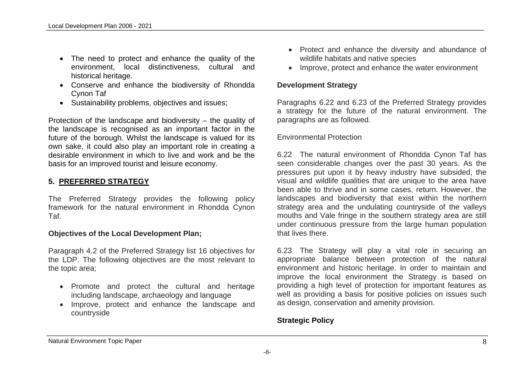- The need to protect and enhance the quality of the environment, local distinctiveness, cultural and historical heritage.
- Conserve and enhance the biodiversity of Rhondda Cynon Taf
- Sustainability problems, objectives and issues;

Protection of the landscape and biodiversity – the quality of the landscape is recognised as an important factor in the future of the borough. Whilst the landscape is valued for its own sake, it could also play an important role in creating a desirable environment in which to live and work and be the basis for an improved tourist and leisure economy.

# **5. PREFERRED STRATEGY**

The Preferred Strategy provides the following policy framework for the natural environment in Rhondda Cynon Taf.

## **Objectives of the Local Development Plan;**

Paragraph 4.2 of the Preferred Strategy list 16 objectives for the LDP. The following objectives are the most relevant to the topic area;

- Promote and protect the cultural and heritage including landscape, archaeology and language
- Improve, protect and enhance the landscape and countryside
- Protect and enhance the diversity and abundance of wildlife habitats and native species
- Improve, protect and enhance the water environment

## **Development Strategy**

Paragraphs 6.22 and 6.23 of the Preferred Strategy provides a strategy for the future of the natural environment. The paragraphs are as followed.

#### Environmental Protection

6.22 The natural environment of Rhondda Cynon Taf has seen considerable changes over the past 30 years. As the pressures put upon it by heavy industry have subsided, the visual and wildlife qualities that are unique to the area have been able to thrive and in some cases, return. However, the landscapes and biodiversity that exist within the northern strategy area and the undulating countryside of the valleys mouths and Vale fringe in the southern strategy area are still under continuous pressure from the large human population that lives there.

6.23 The Strategy will play a vital role in securing an appropriate balance between protection of the natural environment and historic heritage. In order to maintain and improve the local environment the Strategy is based on providing a high level of protection for important features as well as providing a basis for positive policies on issues such as design, conservation and amenity provision.

# **Strategic Policy**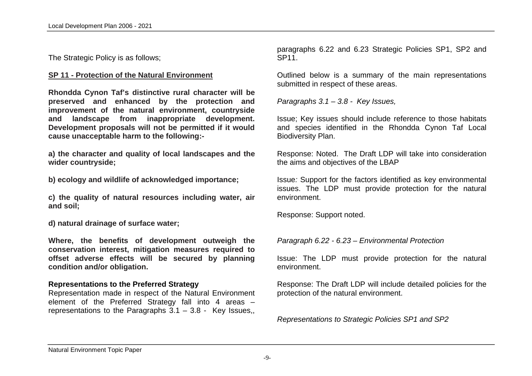The Strategic Policy is as follows;

#### **SP 11 - Protection of the Natural Environment**

**Rhondda Cynon Taf's distinctive rural character will be preserved and enhanced by the protection and improvement of the natural environment, countryside and landscape from inappropriate development. Development proposals will not be permitted if it would cause unacceptable harm to the following:-**

**a) the character and quality of local landscapes and the wider countryside;**

**b) ecology and wildlife of acknowledged importance;**

**c) the quality of natural resources including water, air and soil;**

**d) natural drainage of surface water;**

**Where, the benefits of development outweigh the conservation interest, mitigation measures required to offset adverse effects will be secured by planning condition and/or obligation.**

#### **Representations to the Preferred Strategy**

Representation made in respect of the Natural Environment element of the Preferred Strategy fall into 4 areas – representations to the Paragraphs  $3.1 - 3.8$  - Key Issues,

paragraphs 6.22 and 6.23 Strategic Policies SP1, SP2 and SP11.

Outlined below is a summary of the main representations submitted in respect of these areas.

*Paragraphs 3.1 – 3.8 - Key Issues,*

Issue; Key issues should include reference to those habitats and species identified in the Rhondda Cynon Taf Local Biodiversity Plan.

Response: Noted. The Draft LDP will take into consideration the aims and objectives of the LBAP

Issue*:* Support for the factors identified as key environmental issues. The LDP must provide protection for the natural environment.

Response: Support noted.

*Paragraph 6.22 - 6.23 – Environmental Protection* 

Issue: The LDP must provide protection for the natural environment.

Response: The Draft LDP will include detailed policies for the protection of the natural environment.

*Representations to Strategic Policies SP1 and SP2*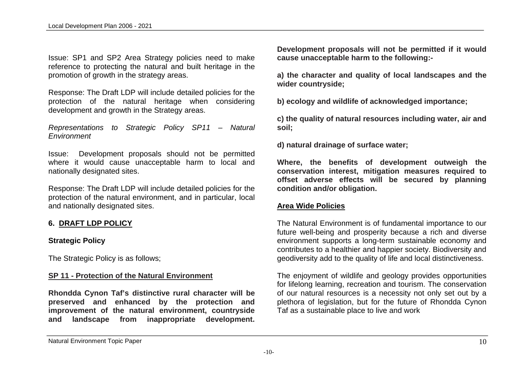Issue: SP1 and SP2 Area Strategy policies need to make reference to protecting the natural and built heritage in the promotion of growth in the strategy areas.

Response: The Draft LDP will include detailed policies for the protection of the natural heritage when considering development and growth in the Strategy areas.

*Representations to Strategic Policy SP11 – Natural Environment*

Issue: Development proposals should not be permitted where it would cause unacceptable harm to local and nationally designated sites.

Response: The Draft LDP will include detailed policies for the protection of the natural environment, and in particular, local and nationally designated sites.

#### **6. DRAFT LDP POLICY**

#### **Strategic Policy**

The Strategic Policy is as follows;

#### **SP 11 - Protection of the Natural Environment**

**Rhondda Cynon Taf's distinctive rural character will be preserved and enhanced by the protection and improvement of the natural environment, countryside and landscape from inappropriate development.** 

**Development proposals will not be permitted if it would cause unacceptable harm to the following:-**

**a) the character and quality of local landscapes and the wider countryside;**

**b) ecology and wildlife of acknowledged importance;**

**c) the quality of natural resources including water, air and soil;**

**d) natural drainage of surface water;**

**Where, the benefits of development outweigh the conservation interest, mitigation measures required to offset adverse effects will be secured by planning condition and/or obligation.**

#### **Area Wide Policies**

The Natural Environment is of fundamental importance to our future well-being and prosperity because a rich and diverse environment supports a long-term sustainable economy and contributes to a healthier and happier society. Biodiversity and geodiversity add to the quality of life and local distinctiveness.

The enjoyment of wildlife and geology provides opportunities for lifelong learning, recreation and tourism. The conservation of our natural resources is a necessity not only set out by a plethora of legislation, but for the future of Rhondda Cynon Taf as a sustainable place to live and work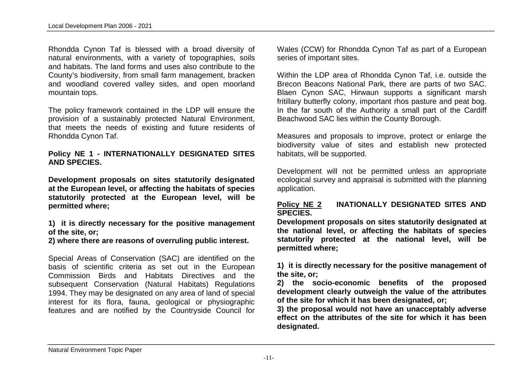Rhondda Cynon Taf is blessed with a broad diversity of natural environments, with a variety of topographies, soils and habitats. The land forms and uses also contribute to the County's biodiversity, from small farm management, bracken and woodland covered valley sides, and open moorland mountain tops.

The policy framework contained in the LDP will ensure the provision of a sustainably protected Natural Environment, that meets the needs of existing and future residents of Rhondda Cynon Taf.

#### **Policy NE 1 - INTERNATIONALLY DESIGNATED SITES AND SPECIES.**

**Development proposals on sites statutorily designated at the European level, or affecting the habitats of species statutorily protected at the European level, will be permitted where;**

**1) it is directly necessary for the positive management of the site, or;** 

**2) where there are reasons of overruling public interest.**

Special Areas of Conservation (SAC) are identified on the basis of scientific criteria as set out in the European Commission Birds and Habitats Directives and the subsequent Conservation (Natural Habitats) Regulations 1994. They may be designated on any area of land of special interest for its flora, fauna, geological or physiographic features and are notified by the Countryside Council for

Wales (CCW) for Rhondda Cynon Taf as part of a European series of important sites.

Within the LDP area of Rhondda Cynon Taf, i.e. outside the Brecon Beacons National Park, there are parts of two SAC. Blaen Cynon SAC, Hirwaun supports a significant marsh fritillary butterfly colony, important rhos pasture and peat bog. In the far south of the Authority a small part of the Cardiff Beachwood SAC lies within the County Borough.

Measures and proposals to improve, protect or enlarge the biodiversity value of sites and establish new protected habitats, will be supported.

Development will not be permitted unless an appropriate ecological survey and appraisal is submitted with the planning application.

#### **Policy NE 2 INATIONALLY DESIGNATED SITES AND SPECIES.**

**Development proposals on sites statutorily designated at the national level, or affecting the habitats of species statutorily protected at the national level, will be permitted where;**

**1) it is directly necessary for the positive management of the site, or;** 

**2) the socio-economic benefits of the proposed development clearly outweigh the value of the attributes of the site for which it has been designated, or;**

**3) the proposal would not have an unacceptably adverse effect on the attributes of the site for which it has been designated.**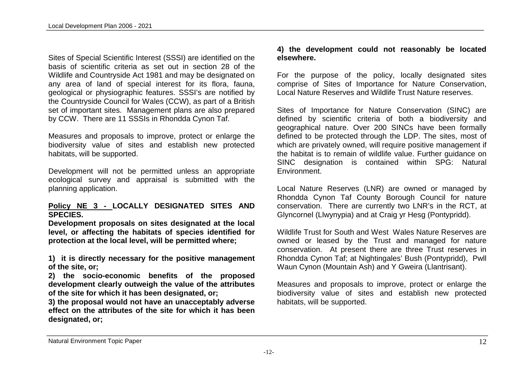Sites of Special Scientific Interest (SSSI) are identified on the basis of scientific criteria as set out in section 28 of the Wildlife and Countryside Act 1981 and may be designated on any area of land of special interest for its flora, fauna, geological or physiographic features. SSSI's are notified by the Countryside Council for Wales (CCW), as part of a British set of important sites. Management plans are also prepared by CCW. There are 11 SSSIs in Rhondda Cynon Taf.

Measures and proposals to improve, protect or enlarge the biodiversity value of sites and establish new protected habitats, will be supported.

Development will not be permitted unless an appropriate ecological survey and appraisal is submitted with the planning application.

#### **Policy NE 3 - LOCALLY DESIGNATED SITES AND SPECIES.**

**Development proposals on sites designated at the local level, or affecting the habitats of species identified for protection at the local level, will be permitted where;**

**1) it is directly necessary for the positive management of the site, or;** 

**2) the socio-economic benefits of the proposed development clearly outweigh the value of the attributes of the site for which it has been designated, or;**

**3) the proposal would not have an unacceptably adverse effect on the attributes of the site for which it has been designated, or;**

#### **4) the development could not reasonably be located elsewhere.**

For the purpose of the policy, locally designated sites comprise of Sites of Importance for Nature Conservation, Local Nature Reserves and Wildlife Trust Nature reserves.

Sites of Importance for Nature Conservation (SINC) are defined by scientific criteria of both a biodiversity and geographical nature. Over 200 SINCs have been formally defined to be protected through the LDP. The sites, most of which are privately owned, will require positive management if the habitat is to remain of wildlife value. Further guidance on SINC designation is contained within SPG: Natural Environment.

Local Nature Reserves (LNR) are owned or managed by Rhondda Cynon Taf County Borough Council for nature conservation. There are currently two LNR's in the RCT, at Glyncornel (Llwynypia) and at Craig yr Hesg (Pontypridd).

Wildlife Trust for South and West Wales Nature Reserves are owned or leased by the Trust and managed for nature conservation. At present there are three Trust reserves in Rhondda Cynon Taf; at Nightingales' Bush (Pontypridd), Pwll Waun Cynon (Mountain Ash) and Y Gweira (Llantrisant).

Measures and proposals to improve, protect or enlarge the biodiversity value of sites and establish new protected habitats, will be supported.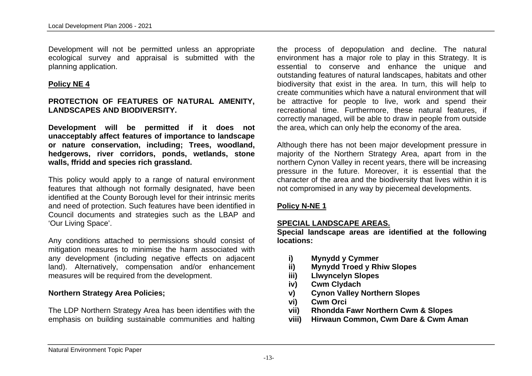Development will not be permitted unless an appropriate ecological survey and appraisal is submitted with the planning application.

#### **Policy NE 4**

#### **PROTECTION OF FEATURES OF NATURAL AMENITY, LANDSCAPES AND BIODIVERSITY.**

**Development will be permitted if it does not unacceptably affect features of importance to landscape or nature conservation, including; Trees, woodland, hedgerows, river corridors, ponds, wetlands, stone walls, ffridd and species rich grassland.**

This policy would apply to a range of natural environment features that although not formally designated, have been identified at the County Borough level for their intrinsic merits and need of protection. Such features have been identified in Council documents and strategies such as the LBAP and 'Our Living Space'.

Any conditions attached to permissions should consist of mitigation measures to minimise the harm associated with any development (including negative effects on adjacent land). Alternatively, compensation and/or enhancement measures will be required from the development.

#### **Northern Strategy Area Policies;**

The LDP Northern Strategy Area has been identifies with the emphasis on building sustainable communities and halting

the process of depopulation and decline. The natural environment has a major role to play in this Strategy. It is essential to conserve and enhance the unique and outstanding features of natural landscapes, habitats and other biodiversity that exist in the area. In turn, this will help to create communities which have a natural environment that will be attractive for people to live, work and spend their recreational time. Furthermore, these natural features, if correctly managed, will be able to draw in people from outside the area, which can only help the economy of the area.

Although there has not been major development pressure in majority of the Northern Strategy Area, apart from in the northern Cynon Valley in recent years, there will be increasing pressure in the future. Moreover, it is essential that the character of the area and the biodiversity that lives within it is not compromised in any way by piecemeal developments.

#### **Policy N-NE 1**

#### **SPECIAL LANDSCAPE AREAS.**

**Special landscape areas are identified at the following locations:**

- **i) Mynydd y Cymmer**
- **ii) Mynydd Troed y Rhiw Slopes**
- **iii) Llwyncelyn Slopes**
- **iv) Cwm Clydach**
- **v) Cynon Valley Northern Slopes**
- **vi) Cwm Orci**
- **vii) Rhondda Fawr Northern Cwm & Slopes**
- **viii) Hirwaun Common, Cwm Dare & Cwm Aman**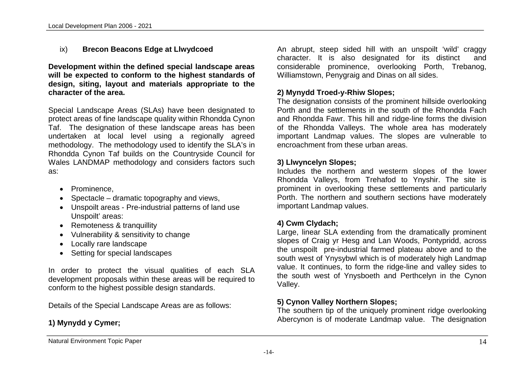## ix) **Brecon Beacons Edge at Llwydcoed**

**Development within the defined special landscape areas will be expected to conform to the highest standards of design, siting, layout and materials appropriate to the character of the area.**

Special Landscape Areas (SLAs) have been designated to protect areas of fine landscape quality within Rhondda Cynon Taf. The designation of these landscape areas has been undertaken at local level using a regionally agreed methodology. The methodology used to identify the SLA's in Rhondda Cynon Taf builds on the Countryside Council for Wales LANDMAP methodology and considers factors such as:

- Prominence,
- $\bullet$  Spectacle dramatic topography and views,
- Unspoilt areas Pre-industrial patterns of land use Unspoilt' areas:
- Remoteness & tranquillity
- Vulnerability & sensitivity to change
- Locally rare landscape
- Setting for special landscapes

In order to protect the visual qualities of each SLA development proposals within these areas will be required to conform to the highest possible design standards.

Details of the Special Landscape Areas are as follows:

# **1) Mynydd y Cymer;**

An abrupt, steep sided hill with an unspoilt 'wild' craggy character. It is also designated for its distinct and considerable prominence, overlooking Porth, Trebanog, Williamstown, Penygraig and Dinas on all sides.

## **2) Mynydd Troed-y-Rhiw Slopes;**

The designation consists of the prominent hillside overlooking Porth and the settlements in the south of the Rhondda Fach and Rhondda Fawr. This hill and ridge-line forms the division of the Rhondda Valleys. The whole area has moderately important Landmap values. The slopes are vulnerable to encroachment from these urban areas.

#### **3) Llwyncelyn Slopes;**

Includes the northern and westerm slopes of the lower Rhondda Valleys, from Trehafod to Ynyshir. The site is prominent in overlooking these settlements and particularly Porth. The northern and southern sections have moderately important Landmap values.

## **4) Cwm Clydach;**

Large, linear SLA extending from the dramatically prominent slopes of Craig yr Hesg and Lan Woods, Pontypridd, across the unspoilt pre-industrial farmed plateau above and to the south west of Ynysybwl which is of moderately high Landmap value. It continues, to form the ridge-line and valley sides to the south west of Ynysboeth and Perthcelyn in the Cynon Valley.

## **5) Cynon Valley Northern Slopes;**

The southern tip of the uniquely prominent ridge overlooking Abercynon is of moderate Landmap value. The designation

Natural Environment Topic Paper 14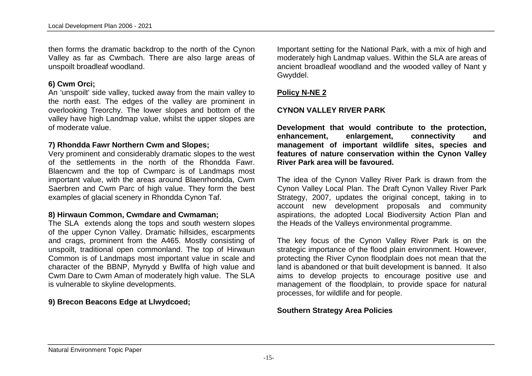then forms the dramatic backdrop to the north of the Cynon Valley as far as Cwmbach. There are also large areas of unspoilt broadleaf woodland.

#### **6) Cwm Orci;**

An 'unspoilt' side valley, tucked away from the main valley to the north east. The edges of the valley are prominent in overlooking Treorchy. The lower slopes and bottom of the valley have high Landmap value, whilst the upper slopes are of moderate value.

#### **7) Rhondda Fawr Northern Cwm and Slopes;**

Very prominent and considerably dramatic slopes to the west of the settlements in the north of the Rhondda Fawr. Blaencwm and the top of Cwmparc is of Landmaps most important value, with the areas around Blaenrhondda, Cwm Saerbren and Cwm Parc of high value. They form the best examples of glacial scenery in Rhondda Cynon Taf.

#### **8) Hirwaun Common, Cwmdare and Cwmaman;**

The SLA extends along the tops and south western slopes of the upper Cynon Valley. Dramatic hillsides, escarpments and crags, prominent from the A465. Mostly consisting of unspoilt, traditional open commonland. The top of Hirwaun Common is of Landmaps most important value in scale and character of the BBNP, Mynydd y Bwllfa of high value and Cwm Dare to Cwm Aman of moderately high value. The SLA is vulnerable to skyline developments.

#### **9) Brecon Beacons Edge at Llwydcoed;**

Important setting for the National Park, with a mix of high and moderately high Landmap values. Within the SLA are areas of ancient broadleaf woodland and the wooded valley of Nant y Gwyddel.

#### **Policy N-NE 2**

#### **CYNON VALLEY RIVER PARK**

**Development that would contribute to the protection, enhancement, enlargement, connectivity and management of important wildlife sites, species and features of nature conservation within the Cynon Valley River Park area will be favoured.**

The idea of the Cynon Valley River Park is drawn from the Cynon Valley Local Plan. The Draft Cynon Valley River Park Strategy, 2007, updates the original concept, taking in to account new development proposals and community aspirations, the adopted Local Biodiversity Action Plan and the Heads of the Valleys environmental programme.

The key focus of the Cynon Valley River Park is on the strategic importance of the flood plain environment. However, protecting the River Cynon floodplain does not mean that the land is abandoned or that built development is banned. It also aims to develop projects to encourage positive use and management of the floodplain, to provide space for natural processes, for wildlife and for people.

#### **Southern Strategy Area Policies**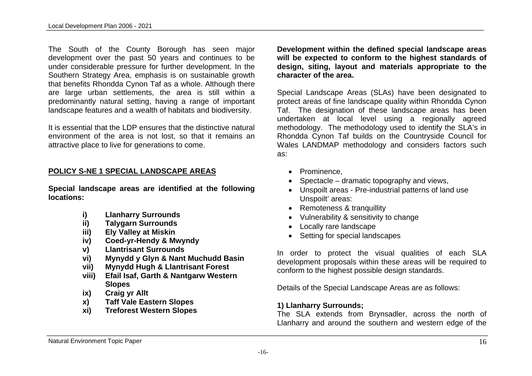The South of the County Borough has seen major development over the past 50 years and continues to be under considerable pressure for further development. In the Southern Strategy Area, emphasis is on sustainable growth that benefits Rhondda Cynon Taf as a whole. Although there are large urban settlements, the area is still within a predominantly natural setting, having a range of important landscape features and a wealth of habitats and biodiversity.

It is essential that the LDP ensures that the distinctive natural environment of the area is not lost, so that it remains an attractive place to live for generations to come.

#### **POLICY S-NE 1 SPECIAL LANDSCAPE AREAS**

**Special landscape areas are identified at the following locations:**

- **i) Llanharry Surrounds**
- **ii) Talygarn Surrounds**
- **iii) Ely Valley at Miskin**
- **iv) Coed-yr-Hendy & Mwyndy**
- **v) Llantrisant Surrounds**
- **vi) Mynydd y Glyn & Nant Muchudd Basin**
- **vii) Mynydd Hugh & Llantrisant Forest**
- **viii) Efail Isaf, Garth & Nantgarw Western Slopes**
- **ix) Craig yr Allt**
- **x) Taff Vale Eastern Slopes**
- **xi) Treforest Western Slopes**

**Development within the defined special landscape areas will be expected to conform to the highest standards of design, siting, layout and materials appropriate to the character of the area.**

Special Landscape Areas (SLAs) have been designated to protect areas of fine landscape quality within Rhondda Cynon Taf. The designation of these landscape areas has been undertaken at local level using a regionally agreed methodology. The methodology used to identify the SLA's in Rhondda Cynon Taf builds on the Countryside Council for Wales LANDMAP methodology and considers factors such as:

- Prominence.
- $\bullet$  Spectacle dramatic topography and views,
- Unspoilt areas Pre-industrial patterns of land use Unspoilt' areas:
- Remoteness & tranquillity
- Vulnerability & sensitivity to change
- Locally rare landscape
- Setting for special landscapes

In order to protect the visual qualities of each SLA development proposals within these areas will be required to conform to the highest possible design standards.

Details of the Special Landscape Areas are as follows:

## **1) Llanharry Surrounds;**

-16-

The SLA extends from Brynsadler, across the north of Llanharry and around the southern and western edge of the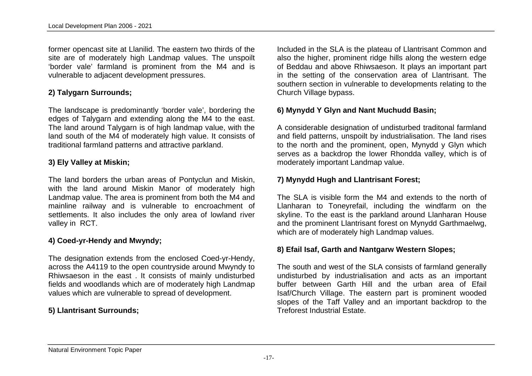former opencast site at Llanilid. The eastern two thirds of the site are of moderately high Landmap values. The unspoilt 'border vale' farmland is prominent from the M4 and is vulnerable to adjacent development pressures.

#### **2) Talygarn Surrounds;**

The landscape is predominantly 'border vale', bordering the edges of Talygarn and extending along the M4 to the east. The land around Talygarn is of high landmap value, with the land south of the M4 of moderately high value. It consists of traditional farmland patterns and attractive parkland.

#### **3) Ely Valley at Miskin;**

The land borders the urban areas of Pontyclun and Miskin, with the land around Miskin Manor of moderately high Landmap value. The area is prominent from both the M4 and mainline railway and is vulnerable to encroachment of settlements. It also includes the only area of lowland river valley in RCT.

## **4) Coed-yr-Hendy and Mwyndy;**

The designation extends from the enclosed Coed-yr-Hendy, across the A4119 to the open countryside around Mwyndy to Rhiwsaeson in the east . It consists of mainly undisturbed fields and woodlands which are of moderately high Landmap values which are vulnerable to spread of development.

# **5) Llantrisant Surrounds;**

Included in the SLA is the plateau of Llantrisant Common and also the higher, prominent ridge hills along the western edge of Beddau and above Rhiwsaeson. It plays an important part in the setting of the conservation area of Llantrisant. The southern section in vulnerable to developments relating to the Church Village bypass.

## **6) Mynydd Y Glyn and Nant Muchudd Basin;**

A considerable designation of undisturbed traditonal farmland and field patterns, unspoilt by industrialisation. The land rises to the north and the prominent, open, Mynydd y Glyn which serves as a backdrop the lower Rhondda valley, which is of moderately important Landmap value.

## **7) Mynydd Hugh and Llantrisant Forest;**

The SLA is visible form the M4 and extends to the north of Llanharan to Toneyrefail, including the windfarm on the skyline. To the east is the parkland around Llanharan House and the prominent Llantrisant forest on Mynydd Garthmaelwg, which are of moderately high Landmap values.

## **8) Efail Isaf, Garth and Nantgarw Western Slopes;**

The south and west of the SLA consists of farmland generally undisturbed by industrialisation and acts as an important buffer between Garth Hill and the urban area of Efail Isaf/Church Village. The eastern part is prominent wooded slopes of the Taff Valley and an important backdrop to the Treforest Industrial Estate.